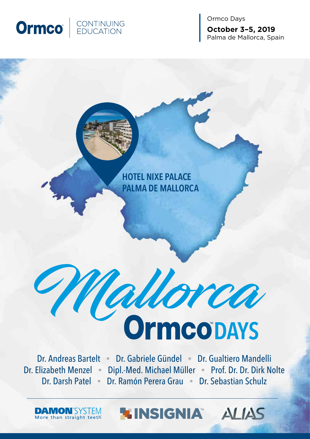

Ormco Days **October 3–5, 2019** Palma de Mallorca, Spain

**HOTEL NIXE PALACE PALMA DE MALLORCA**

# **Mallorca DAYS**

Dr. Andreas Bartelt • Dr. Gabriele Gündel • Dr. Gualtiero Mandelli Dr. Elizabeth Menzel • Dipl.-Med. Michael Müller • Prof. Dr. Dr. Dirk Nolte Dr. Darsh Patel • Dr. Ramón Perera Grau • Dr. Sebastian Schulz

**LINSIGNIA ALIAS** 

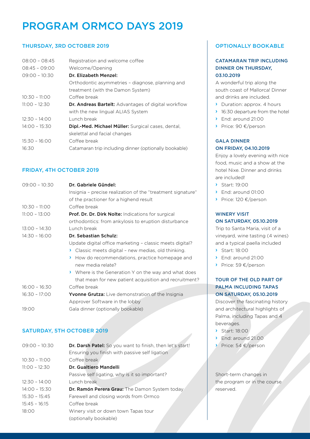# PROGRAM ORMCO DAYS 2019

#### THURSDAY, 3RD OCTOBER 2019

| $08:00 - 08:45$ | Registration and welcome coffee                            |
|-----------------|------------------------------------------------------------|
| $08:45 - 09:00$ | Welcome/Opening                                            |
| $09:00 - 10:30$ | Dr. Elizabeth Menzel:                                      |
|                 | Orthodontic asymmetries - diagnose, planning and           |
|                 | treatment (with the Damon System)                          |
| $10:30 - 11:00$ | Coffee break                                               |
| $11:00 - 12:30$ | <b>Dr. Andreas Bartelt:</b> Advantages of digital workflow |
|                 | with the new lingual ALIAS System                          |
| $12:30 - 14:00$ | Lunch break                                                |
| $14:00 - 15:30$ | <b>Dipl.-Med. Michael Müller:</b> Surgical cases, dental,  |
|                 | skelettal and facial changes                               |
| $15:30 - 16:00$ | Coffee break                                               |
| 16:30           | Catamaran trip including dinner (optionally bookable)      |

#### FRIDAY, 4TH OCTOBER 2019

| $09:00 - 10:30$ | Dr. Gabriele Gündel:<br>Insignia - precise realization of the "treatment signature"<br>of the practioner for a highend result |
|-----------------|-------------------------------------------------------------------------------------------------------------------------------|
| $10:30 - 11:00$ | Coffee break                                                                                                                  |
| $11:00 - 13:00$ | Prof. Dr. Dr. Dirk Nolte: Indications for surgical                                                                            |
|                 | orthodontics: from ankylosis to eruption disturbance                                                                          |
| $13:00 - 14:30$ | Lunch break                                                                                                                   |
| $14:30 - 16:00$ | Dr. Sebastian Schulz:                                                                                                         |
|                 | Update digital office marketing - classic meets digital?                                                                      |
|                 | Classic meets digital - new medias, old thinking.<br>≻                                                                        |
|                 | How do recommendations, practice homepage and<br>Y.<br>new media relate?                                                      |
|                 | > Where is the Generation Y on the way and what does<br>that mean for new patient acquisition and recruitment?                |
| $16:00 - 16:30$ | Coffee break                                                                                                                  |
| $16:30 - 17:00$ | <b>Yvonne Grutza:</b> Live demonstration of the Insignia                                                                      |
|                 | Approver Software in the lobby                                                                                                |
| 19:00           | Gala dinner (optionally bookable)                                                                                             |

#### SATURDAY, 5TH OCTOBER 2019

| Dr. Darsh Patel: So you want to finish, then let's start! |
|-----------------------------------------------------------|
| Ensuring you finish with passive self ligation            |
| Coffee break                                              |
| Dr. Gualtiero Mandelli                                    |
| Passive self ligating, why is it so important?            |
| Lunch break                                               |
| Dr. Ramón Perera Grau: The Damon System today             |
| Farewell and closing words from Ormco                     |
| Coffee break                                              |
| Winery visit or down town Tapas tour                      |
| (optionally bookable)                                     |
|                                                           |

#### OPTIONALLY BOOKABLE

#### CATAMARAN TRIP INCLUDING DINNER ON THURSDAY, 03.10.2019

A wonderful trip along the south coast of Mallorca! Dinner and drinks are included.

- › Duration: approx. 4 hours
- › 16:30 departure from the hotel
- › End: around 21:00
- › Price: 90 €/person

#### GALA DINNER ON FRIDAY, 04.10.2019

Enjoy a lovely evening with nice food, music and a show at the hotel Nixe. Dinner and drinks are included!

- › Start: 19:00
- › End: around 01:00
- › Price: 120 €/person

#### WINERY VISIT ON SATURDAY, 05.10.2019

Trip to Santa Maria, visit of a vineyard, wine tasting (4 wines) and a typical paella included

- › Start: 18:00
- › End: around 21:00
- › Price: 59 €/person

#### TOUR OF THE OLD PART OF PALMA INCLUDING TAPAS ON SATURDAY, 05.10.2019

Discover the fascinating history and architectural highlights of Palma, including Tapas and 4 beverages.

- › Start: 18:00
- › End: around 21.00
- › Price: 54 €/person

Short-term changes in the program or in the course reserved.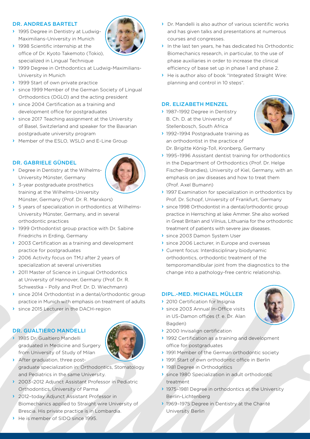#### DR. ANDREAS BARTELT

- › 1995 Degree in Dentistry at Ludwig-Maximilians-University in Munich
- 1998 Scientific internship at the office of Dr. Kyoto Takemoto (Tokio), specialized in Lingual Technique
- › 1999 Degree in Orthodontics at Ludwig-Maximilians-University in Munich
- 1999 Start of own private practice
- › since 1999 Member of the German Society of Lingual Orthodontics (DGLO) and the acting president
- › since 2004 Certification as a training and development office for postgraduates
- › since 2017 Teaching assignment at the University of Basel, Switzlerland and speaker for the Bavarian postgraduate university program
- › Member of the ESLO, WSLO and E-Line Group

#### DR. GABRIELE GÜNDEL

› Degree in Dentistry at the Wilhelms-University Münster, Germany



- › 3-year postgraduate prosthetics training at the Wilhelms-University Münster, Germany (Prof. Dr. R. Marxkors)
- › 5 years of specialization in orthodontics at Wilhelms-University Münster, Germany, and in several orthodontic practices
- › 1999 Orthodontist group practice with Dr. Sabine Friedrichs in Erding, Germany
- ▶ 2003 Certification as a training and development practice for postgraduates
- ◆ 2006 Activity focus on TMJ after 2 years of specialization at several universities
- › 2011 Master of Science in Lingual Orthodontics at University of Hannover, Germany (Prof. Dr. R. Schwestka – Polly and Prof. Dr. D. Wiechmann)
- › since 2014 Orthodontist in a dental/orthodontic group practice in Munich with emphasis on treatment of adults
- › since 2015 Lecturer in the DACH-region

#### DR. GUALTIERO MANDELLI

› 1985 Dr. Gualtiero Mandelli graduated in Medicine and Surgery from University of Study of Milan



- › After graduation, three postgraduate specialization in: Orthodontics, Stomatology and Pediatrics in the same University.
- › 2003–2012 Adjunct Assistant Professor in Pediatric Orthodontics, University of Parma
- › 2012–today Adjunct Assistant Professor in Biomechanics applied to Straight wire University of Brescia. His private practice is in Lombardia.
- › He is member of SIDO since 1995.
- › Dr. Mandelli is also author of various scientific works and has given talks and presentations at numerous courses and congresses.
- › In the last ten years, he has dedicated his Orthodontic Biomechanics research, in particular, to the use of phase auxiliaries in order to increase the clinical efficiency of base set up in phase 1 and phase 2.
- › He is author also of book "Integrated Straight Wire: planning and control in 10 steps".

#### DR. ELIZABETH MENZEL

› 1987–1992 Degree in Dentistry B. Ch. D. at the University of Stellenbosch, South Africa



- › 1992–1994 Postgraduate training as an orthodontist in the practice of Dr. Brigitte König-Toll, Kronberg, Germany
- › 1995–1996 Assistant dentist training for orthodontics in the Department of Orthodontics (Prof. Dr. Helge Fischer-Brandies), University of Kiel, Germany, with an emphasis on jaw diseases and how to treat them (Prof. Axel Bumann)
- › 1997 Examination for specialization in orthodontics by Prof. Dr. Schopf, University of Frankfurt, Germany
- › since 1998 Orthodontist in a dental/orthodontic group practice in Herrsching at lake Ammer. She also worked in Great Britain and Vilnius, Lithuania for the orthodontic treatment of patients with severe jaw diseases.
- › since 2003 Damon System User
- › since 2006 Lecturer, in Europe and overseas
- › Current focus: Interdisciplinary biodynamic orthodontics, orthodontic treatment of the temporomandibular joint from the diagnostics to the change into a pathology-free centric relationship.

#### DIPL.-MED. MICHAEL MÜLLER

- ▶ 2010 Certification for Insignia
- › since 2003 Annual In-Office visits in US-Damon offices (f. e. Dr. Alan Bagden)



- ▶ 2000 Invisalign certification
- ▶ 1992 Certification as a training and development office for postgraduates
- › 1991 Member of the German orthodontic society
- › 1991 Start of own orthodontic office in Berlin
- › 1981 Degree in Orthodontics
- › since 1980 Specialization in adult orthodontic treatment
- › 1975–1981 Degree in orthodontics at the University Berlin-Lichtenberg
- › 1969–1975 Degree in Dentistry at the Charité University Berlin

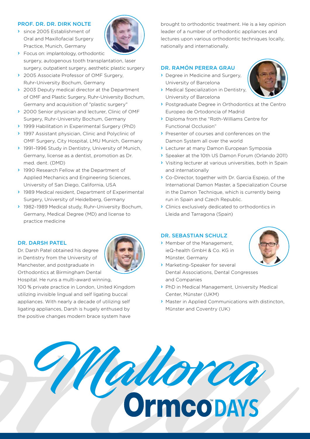#### PROF. DR. DR. DIRK NOLTE

- › since 2005 Establishment of Oral and Maxillofacial Surgery Practice, Munich, Germany
- › Focus on: implantology, orthodontic surgery, autogenous tooth transplantation, laser surgery, outpatient surgery, aesthetic plastic surgery
- › 2005 Associate Professor of OMF Surgery, Ruhr-University Bochum, Germany
- ◆ 2003 Deputy medical director at the Department of OMF and Plastic Surgery, Ruhr-University Bochum, Germany and acquisition of "plastic surgery"
- › 2000 Senior physician and lecturer, Clinic of OMF Surgery, Ruhr-University Bochum, Germany
- › 1999 Habilitation in Experimental Surgery (PhD)
- › 1997 Assistant physician, Clinic and Polyclinic of OMF Surgery, City Hospital, LMU Munich, Germany
- › 1991–1996 Study in Dentistry, University of Munich, Germany, license as a dentist, promotion as Dr. med. dent. (DMD)
- › 1990 Research Fellow at the Department of Applied Mechanics and Engineering Sciences, University of San Diego, California, USA
- › 1989 Medical resident, Department of Experimental Surgery, University of Heidelberg, Germany
- › 1982–1989 Medical study, Ruhr-University Bochum, Germany, Medical Degree (MD) and license to practice medicine

#### DR. DARSH PATEL

Dr. Darsh Patel obtained his degree in Dentistry from the University of Manchester, and postgraduate in Orthodontics at Birmingham Dental

Hospital. He runs a multi-award winning, 100 % private practice in London, United Kingdom utilizing invisible lingual and self ligating buccal appliances. With nearly a decade of utilizing self ligating appliances, Darsh is hugely enthused by the positive changes modern brace system have



brought to orthodontic treatment. He is a key opinion leader of a number of orthodontic appliances and lectures upon various orthodontic techniques locally, nationally and internationally.

#### DR. RAMÓN PERERA GRAU

- › Degree in Medicine and Surgery, University of Barcelona
- › Medical Specialization in Dentistry, University of Barcelona
- › Postgraduate Degree in Orthodontics at the Centro Europeo de Ortodoncia of Madrid
- › Diploma from the "Roth-Williams Centre for Functional Occlusion"
- › Presenter of courses and conferences on the Damon System all over the world
- › Lecturer at many Damon European Symposia
- › Speaker at the 10th US Damon Forum (Orlando 2011)
- › Visiting lecturer at various universities, both in Spain and internationally
- › Co-Director, together with Dr. Garcia Espejo, of the International Damon Master, a Specialization Course in the Damon Technique, which is currently being run in Spain and Czech Republic.
- › Clinics exclusively dedicated to orthodontics in Lleida and Tarragona (Spain)

#### DR. SEBASTIAN SCHULZ

› Member of the Management, ieQ-health GmbH & Co. KG in Münster, Germany



- › Marketing-Speaker for several Dental Associations, Dental Congresses and Companies
- › PhD in Medical Management, University Medical Center, Münster (UKM)
- › Master in Applied Communications with distincton, Münster and Coventry (UK)

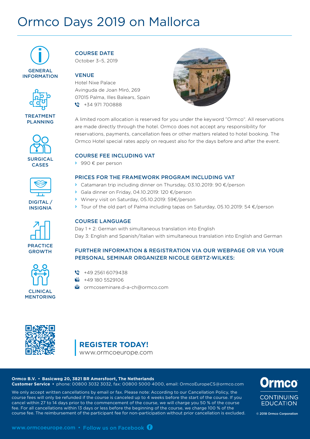# Ormco Days 2019 on Mallorca





TREATMENT PLANNING





DIGITAL / INSIGNIA







COURSE DATE October 3–5, 2019

#### VENUE

Hotel Nixe Palace Avinguda de Joan Miró, 269 07015 Palma, Illes Balears, Spain  $\bullet$  +34 971 700888



A limited room allocation is reserved for you under the keyword "Ormco". All reservations are made directly through the hotel. Ormco does not accept any responsibility for reservations, payments, cancellation fees or other matters related to hotel booking. The Ormco Hotel special rates apply on request also for the days before and after the event.

#### COURSE FEE INCLUDING VAT

› 990 € per person

#### PRICES FOR THE FRAMEWORK PROGRAM INCLUDING VAT

- › Catamaran trip including dinner on Thursday, 03.10.2019: 90 €/person
- › Gala dinner on Friday, 04.10.2019: 120 €/person
- › Winery visit on Saturday, 05.10.2019: 59€/person
- › Tour of the old part of Palma including tapas on Saturday, 05.10.2019: 54 €/person

#### COURSE LANGUAGE

Day 1 + 2: German with simultaneous translation into English Day 3: English and Spanish/Italian with simultaneous translation into English and German

#### FURTHER INFORMATION & REGISTRATION VIA OUR WEBPAGE OR VIA YOUR PERSONAL SEMINAR ORGANIZER NICOLE GERTZ-WILKES:

- $\bullet$  +49 2561 6079438
- +49 180 5529106
- **C**ormcoseminare.d-a-ch@ormco.com



### **REGISTER TODAY!**

www.ormcoeurope.com

#### **Ormco B.V.** • **Basicweg 20, 3821 BR Amersfoort, The Netherlands**

**Customer Service** • phone: 00800 3032 3032, fax: 00800 5000 4000, email: OrmcoEuropeCS@ormco.com

We only accept written cancellations by email or fax. Please note: According to our Cancellation Policy, the course fees will only be refunded if the course is canceled up to 4 weeks before the start of the course. If you cancel within 27 to 14 days prior to the commencement of the course, we will charge you 50 % of the course fee. For all cancellations within 13 days or less before the beginning of the course, we charge 100 % of the course fee. The reimbursement of the participant fee for non-participation without prior cancellation is excluded. © 2018 Ormco Corporation